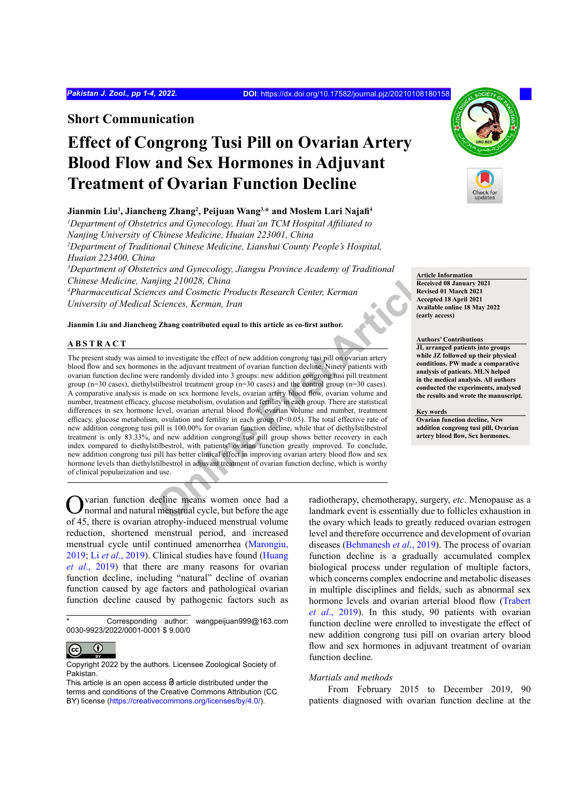**Short Communication**

# **Effect of Congrong Tusi Pill on Ovarian Artery Blood Flow and Sex Hormones in Adjuvant Treatment of Ovarian Function Decline**

# **Jianmin Liu1 , Jiancheng Zhang2 , Peijuan Wang3,\* and Moslem Lari Najafi<sup>4</sup>**

*1 Department of Obstetrics and Gynecology, Huai'an TCM Hospital Affiliated to Nanjing University of Chinese Medicine, Huaian 223001, China 2 Department of Traditional Chinese Medicine, Lianshui County People's Hospital, Huaian 223400, China 3 Department of Obstetrics and Gynecology, Jiangsu Province Academy of Traditional* 

*Chinese Medicine, Nanjing 210028, China*

*4 Pharmaceutical Sciences and Cosmetic Products Research Center, Kerman University of Medical Sciences, Kerman, Iran*

**Jianmin Liu and Jiancheng Zhang contributed equal to this article as co-first author.**

# **ABSTRACT**

The stand of preciously, *Juangou 1 1000 Hecalemy of Triatational* Received Center, *Kerman*<br> **Online First Article**<br> **Online First Article** Consider the effect of new addition congrong tusipill on ovarian artery<br> **Scrienc** The present study was aimed to investigate the effect of new addition congrong tusi pill on ovarian artery blood flow and sex hormones in the adjuvant treatment of ovarian function decline. Ninety patients with ovarian function decline were randomly divided into 3 groups: new addition congrong tusi pill treatment group (n=30 cases), diethylstilbestrol treatment group (n=30 cases) and the control group (n=30 cases). A comparative analysis is made on sex hormone levels, ovarian artery blood flow, ovarian volume and number, treatment efficacy, glucose metabolism, ovulation and fertility in each group. There are statistical differences in sex hormone level, ovarian arterial blood flow, ovarian volume and number, treatment efficacy, glucose metabolism, ovulation and fertility in each group (P<0.05). The total effective rate of new addition congrong tusi pill is 100.00% for ovarian function decline, while that of diethylstilbestrol treatment is only 83.33%, and new addition congrong tusi pill group shows better recovery in each index compared to diethylstilbestrol, with patients' ovarian function greatly improved. To conclude, new addition congrong tusi pill has better clinical effect in improving ovarian artery blood flow and sex hormone levels than diethylstilbestrol in adjuvant treatment of ovarian function decline, which is worthy of clinical popularization and use.

**Article Information Received 08 January 2021 Revised 01 March 2021 Accepted 18 April 2021 Available online 18 May 2022 (early access)**

**Authors' Contributions JL arranged patients into groups while JZ followed up their physical conditions. PW made a comparative analysis of patients. MLN helped in the medical analysis. All authors conducted the experiments, analysed the results and wrote the manuscript.**

### **Key words**

**Ovarian function decline, New addition congrong tusi pill, Ovarian artery blood flow, Sex hormones.**

varian function decline means women once had a normal and natural menstrual cycle, but before the age of 45, there is ovarian atrophy-induced menstrual volume reduction, shortened menstrual period, and increased menstrual cycle until continued amenorrhea [\(Marongiu,](#page-3-0) [2019;](#page-3-0) Li *et al*[., 2019\)](#page-3-1). Clinical studies have found ([Huang](#page-3-2) *et al*[., 2019](#page-3-2)) that there are many reasons for ovarian function decline, including "natural" decline of ovarian function caused by age factors and pathological ovarian function decline caused by pathogenic factors such as

#### $\bf \odot$  $\left(\mathrm{cc}\right)$

radiotherapy, chemotherapy, surgery, *etc*. Menopause as a landmark event is essentially due to follicles exhaustion in the ovary which leads to greatly reduced ovarian estrogen level and therefore occurrence and development of ovarian diseases ([Behmanesh](#page-3-3) *et al*., 2019). The process of ovarian function decline is a gradually accumulated complex biological process under regulation of multiple factors, which concerns complex endocrine and metabolic diseases in multiple disciplines and fields, such as abnormal sex hormone levels and ovarian arterial blood flow ([Trabert](#page-3-4) *et al*[., 2019](#page-3-4)). In this study, 90 patients with ovarian function decline were enrolled to investigate the effect of new addition congrong tusi pill on ovarian artery blood flow and sex hormones in adjuvant treatment of ovarian function decline.

## *Martials and methods*

From February 2015 to December 2019, 90 patients diagnosed with ovarian function decline at the



Corresponding author: wangpeijuan999@163.com 0030-9923/2022/0001-0001 \$ 9.00/0

Copyright 2022 by the authors. Licensee Zoological Society of Pakistan.

This article is an open access  $\Theta$  article distributed under the terms and conditions of the Creative Commons Attribution (CC BY) license (https://creativecommons.org/licenses/by/4.0/).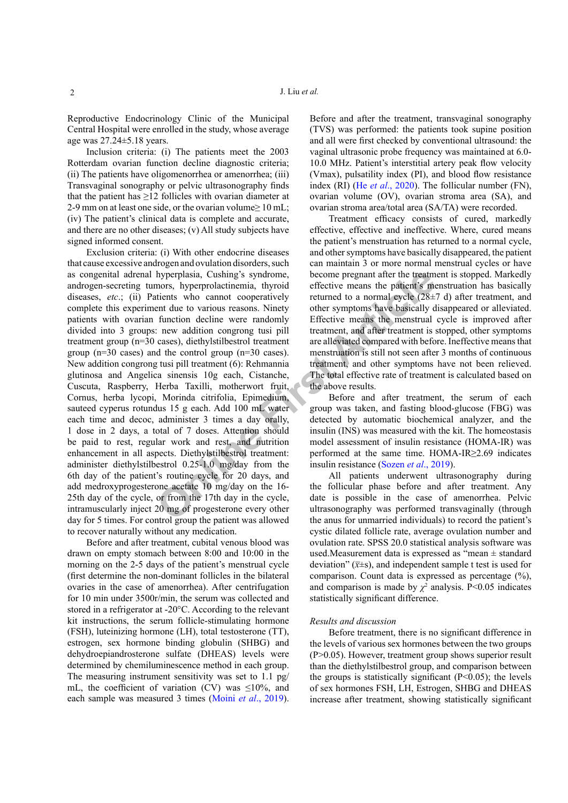Reproductive Endocrinology Clinic of the Municipal Central Hospital were enrolled in the study, whose average age was 27.24±5.18 years.

Inclusion criteria: (i) The patients meet the 2003 Rotterdam ovarian function decline diagnostic criteria; (ii) The patients have oligomenorrhea or amenorrhea; (iii) Transvaginal sonography or pelvic ultrasonography finds that the patient has  $\geq$ 12 follicles with ovarian diameter at 2-9 mm on at least one side, or the ovarian volume≥ 10 mL; (iv) The patient's clinical data is complete and accurate, and there are no other diseases; (v) All study subjects have signed informed consent.

hyperplasia, Cushing's syndrome,<br>
mors, hyperprolactinemia, thyroid<br>
effective means the patient's who<br>
tend that the cannot cooperatively<br>
erturned to a normal cycle (28±<br>
function decline were randomly<br>
enter symptoms ha Exclusion criteria: (i) With other endocrine diseases that cause excessive androgen and ovulation disorders, such as congenital adrenal hyperplasia, Cushing's syndrome, androgen-secreting tumors, hyperprolactinemia, thyroid diseases, *etc.*; (ii) Patients who cannot cooperatively complete this experiment due to various reasons. Ninety patients with ovarian function decline were randomly divided into 3 groups: new addition congrong tusi pill treatment group (n=30 cases), diethylstilbestrol treatment group (n=30 cases) and the control group (n=30 cases). New addition congrong tusi pill treatment (6): Rehmannia glutinosa and Angelica sinensis 10g each, Cistanche, Cuscuta, Raspberry, Herba Taxilli, motherwort fruit, Cornus, herba lycopi, Morinda citrifolia, Epimedium, sauteed cyperus rotundus 15 g each. Add 100 mL water each time and decoc, administer 3 times a day orally, 1 dose in 2 days, a total of 7 doses. Attention should be paid to rest, regular work and rest, and nutrition enhancement in all aspects. Diethylstilbestrol treatment: administer diethylstilbestrol 0.25-1.0 mg/day from the 6th day of the patient's routine cycle for 20 days, and add medroxyprogesterone acetate 10 mg/day on the 16- 25th day of the cycle, or from the 17th day in the cycle, intramuscularly inject 20 mg of progesterone every other day for 5 times. For control group the patient was allowed to recover naturally without any medication.

Before and after treatment, cubital venous blood was drawn on empty stomach between 8:00 and 10:00 in the morning on the 2-5 days of the patient's menstrual cycle (first determine the non-dominant follicles in the bilateral ovaries in the case of amenorrhea). After centrifugation for 10 min under 3500r/min, the serum was collected and stored in a refrigerator at -20°C. According to the relevant kit instructions, the serum follicle-stimulating hormone (FSH), luteinizing hormone (LH), total testosterone (TT), estrogen, sex hormone binding globulin (SHBG) and dehydroepiandrosterone sulfate (DHEAS) levels were determined by chemiluminescence method in each group. The measuring instrument sensitivity was set to 1.1 pg/ mL, the coefficient of variation (CV) was  $\leq 10\%$ , and each sample was measured 3 times (Moini *et al*[., 2019](#page-3-5)).

Before and after the treatment, transvaginal sonography (TVS) was performed: the patients took supine position and all were first checked by conventional ultrasound: the vaginal ultrasonic probe frequency was maintained at 6.0- 10.0 MHz. Patient's interstitial artery peak flow velocity (Vmax), pulsatility index (PI), and blood flow resistance index (RI) (He *et al*[., 2020](#page-3-6)). The follicular number (FN), ovarian volume (OV), ovarian stroma area (SA), and ovarian stroma area/total area (SA/TA) were recorded.

Treatment efficacy consists of cured, markedly effective, effective and ineffective. Where, cured means the patient's menstruation has returned to a normal cycle, and other symptoms have basically disappeared, the patient can maintain 3 or more normal menstrual cycles or have become pregnant after the treatment is stopped. Markedly effective means the patient's menstruation has basically returned to a normal cycle (28±7 d) after treatment, and other symptoms have basically disappeared or alleviated. Effective means the menstrual cycle is improved after treatment, and after treatment is stopped, other symptoms are alleviated compared with before. Ineffective means that menstruation is still not seen after 3 months of continuous treatment, and other symptoms have not been relieved. The total effective rate of treatment is calculated based on the above results.

Before and after treatment, the serum of each group was taken, and fasting blood-glucose (FBG) was detected by automatic biochemical analyzer, and the insulin (INS) was measured with the kit. The homeostasis model assessment of insulin resistance (HOMA-IR) was performed at the same time. HOMA-IR≥2.69 indicates insulin resistance (Sozen *et al*., 2019).

All patients underwent ultrasonography during the follicular phase before and after treatment. Any date is possible in the case of amenorrhea. Pelvic ultrasonography was performed transvaginally (through the anus for unmarried individuals) to record the patient's cystic dilated follicle rate, average ovulation number and ovulation rate. SPSS 20.0 statistical analysis software was used.Measurement data is expressed as "mean ± standard deviation"  $(\overline{x} \pm s)$ , and independent sample t test is used for comparison. Count data is expressed as percentage (%), and comparison is made by  $\chi^2$  analysis. P<0.05 indicates statistically significant difference.

## *Results and discussion*

Before treatment, there is no significant difference in the levels of various sex hormones between the two groups (P>0.05). However, treatment group shows superior result than the diethylstilbestrol group, and comparison between the groups is statistically significant  $(P<0.05)$ ; the levels of sex hormones FSH, LH, Estrogen, SHBG and DHEAS increase after treatment, showing statistically significant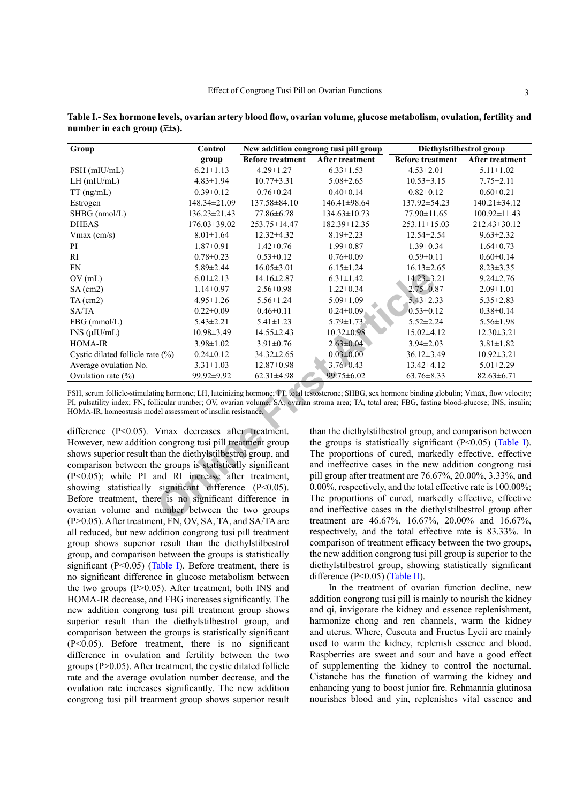| Group                                                                                                                                                                                                                                                                                                                                                                      | Control         |                         | New addition congrong tusi pill group                             | Diethylstilbestrol group |                  |  |  |  |
|----------------------------------------------------------------------------------------------------------------------------------------------------------------------------------------------------------------------------------------------------------------------------------------------------------------------------------------------------------------------------|-----------------|-------------------------|-------------------------------------------------------------------|--------------------------|------------------|--|--|--|
|                                                                                                                                                                                                                                                                                                                                                                            | group           | <b>Before treatment</b> | After treatment                                                   | <b>Before treatment</b>  | After treatment  |  |  |  |
| FSH (mIU/mL)                                                                                                                                                                                                                                                                                                                                                               | $6.21 \pm 1.13$ | $4.29 \pm 1.27$         | $6.33 \pm 1.53$                                                   | $4.53 \pm 2.01$          | $5.11 \pm 1.02$  |  |  |  |
| $LH$ (mIU/mL)                                                                                                                                                                                                                                                                                                                                                              | $4.83 \pm 1.94$ | $10.77 \pm 3.31$        | $5.08 \pm 2.65$                                                   | $10.53 \pm 3.15$         | $7.75 \pm 2.11$  |  |  |  |
| TT (ng/mL)                                                                                                                                                                                                                                                                                                                                                                 | $0.39 \pm 0.12$ | $0.76 \pm 0.24$         | $0.40 \pm 0.14$                                                   | $0.82 \pm 0.12$          | $0.60 \pm 0.21$  |  |  |  |
| Estrogen                                                                                                                                                                                                                                                                                                                                                                   | 148.34±21.09    | 137.58±84.10            | 146.41±98.64                                                      | 137.92±54.23             | 140.21±34.12     |  |  |  |
| SHBG (nmol/L)                                                                                                                                                                                                                                                                                                                                                              | 136.23±21.43    | 77.86±6.78              | $134.63 \pm 10.73$                                                | 77.90±11.65              | 100.92±11.43     |  |  |  |
| <b>DHEAS</b>                                                                                                                                                                                                                                                                                                                                                               | 176.03±39.02    | 253.75±14.47            | 182.39±12.35                                                      | 253.11±15.03             | 212.43±30.12     |  |  |  |
| $V$ max (cm/s)                                                                                                                                                                                                                                                                                                                                                             | $8.01 \pm 1.64$ | $12.32 \pm 4.32$        | $8.19 \pm 2.23$                                                   | $12.54 \pm 2.54$         | $9.63 \pm 2.32$  |  |  |  |
| PI                                                                                                                                                                                                                                                                                                                                                                         | $1.87 \pm 0.91$ | $1.42 \pm 0.76$         | $1.99 \pm 0.87$                                                   | $1.39 \pm 0.34$          | $1.64 \pm 0.73$  |  |  |  |
| $\mathbf{R}\mathbf{I}$                                                                                                                                                                                                                                                                                                                                                     | $0.78 \pm 0.23$ | $0.53 \pm 0.12$         | $0.76 \pm 0.09$                                                   | $0.59 \pm 0.11$          | $0.60 \pm 0.14$  |  |  |  |
| <b>FN</b>                                                                                                                                                                                                                                                                                                                                                                  | 5.89±2.44       | $16.05 \pm 3.01$        | $6.15 \pm 1.24$                                                   | $16.13 \pm 2.65$         | $8.23 \pm 3.35$  |  |  |  |
| OV(mL)                                                                                                                                                                                                                                                                                                                                                                     | $6.01 \pm 2.13$ | $14.16 \pm 2.87$        | $6.31 \pm 1.42$                                                   | $14.23 \pm 3.21$         | $9.24 \pm 2.76$  |  |  |  |
| $SA$ (cm2)                                                                                                                                                                                                                                                                                                                                                                 | $1.14 \pm 0.97$ | $2.56 \pm 0.98$         | $1.22 \pm 0.34$                                                   | $2.75 \pm 0.87$          | $2.09 \pm 1.01$  |  |  |  |
| $TA$ (cm2)                                                                                                                                                                                                                                                                                                                                                                 | $4.95 \pm 1.26$ | $5.56 \pm 1.24$         | $5.09 \pm 1.09$                                                   | $5.43 \pm 2.33$          | $5.35 \pm 2.83$  |  |  |  |
| SA/TA                                                                                                                                                                                                                                                                                                                                                                      | $0.22 \pm 0.09$ | $0.46 \pm 0.11$         | $0.24 \pm 0.09$                                                   | $0.53 \pm 0.12$          | $0.38 \pm 0.14$  |  |  |  |
| FBG (mmol/L)                                                                                                                                                                                                                                                                                                                                                               | $5.43 \pm 2.21$ | $5.41 \pm 1.23$         | $5.79 \pm 1.73$                                                   | $5.52 \pm 2.24$          | $5.56 \pm 1.98$  |  |  |  |
| INS (µIU/mL)                                                                                                                                                                                                                                                                                                                                                               | 10.98±3.49      | 14.55±2.43              | $10.32 \pm 0.98$                                                  | 15.02±4.12               | $12.30 \pm 3.21$ |  |  |  |
| <b>HOMA-IR</b>                                                                                                                                                                                                                                                                                                                                                             | $3.98 \pm 1.02$ | $3.91 \pm 0.76$         | $2.63 \pm 0.04$                                                   | $3.94 \pm 2.03$          | $3.81 \pm 1.82$  |  |  |  |
| Cystic dilated follicle rate (%)                                                                                                                                                                                                                                                                                                                                           | $0.24 \pm 0.12$ | $34.32 \pm 2.65$        | $0.03 \pm 0.00$                                                   | $36.12 \pm 3.49$         | $10.92 \pm 3.21$ |  |  |  |
| Average ovulation No.                                                                                                                                                                                                                                                                                                                                                      | $3.31 \pm 1.03$ | $12.87 \pm 0.98$        | $3.76 \pm 0.43$                                                   | $13.42 \pm 4.12$         | $5.01 \pm 2.29$  |  |  |  |
| Ovulation rate $(\% )$                                                                                                                                                                                                                                                                                                                                                     | 99.92±9.92      | $62.31 \pm 4.98$        | 99.75±6.02                                                        | $63.76 \pm 8.33$         | $82.63 \pm 6.71$ |  |  |  |
| FSH, serum follicle-stimulating hormone; LH, luteinizing hormone; TT, total testosterone; SHBG, sex hormone binding globulin; Vmax, flow velocity;<br>PI, pulsatility index; FN, follicular number; OV, ovarian volume; SA, ovarian stroma area; TA, total area; FBG, fasting blood-glucose; INS, insulin;<br>HOMA-IR, homeostasis model assessment of insulin resistance. |                 |                         |                                                                   |                          |                  |  |  |  |
| difference (P<0.05). Vmax decreases after treatment.<br>than the diethylstilbestrol group, and comparison between                                                                                                                                                                                                                                                          |                 |                         |                                                                   |                          |                  |  |  |  |
| However, new addition congrong tusi pill treatment group                                                                                                                                                                                                                                                                                                                   |                 |                         | the groups is statistically significant $(P<0.05)$ (Table I).     |                          |                  |  |  |  |
| shows superior result than the diethylstilbestrol group, and                                                                                                                                                                                                                                                                                                               |                 |                         | The proportions of cured, markedly effective, effective           |                          |                  |  |  |  |
| comparison between the groups is statistically significant                                                                                                                                                                                                                                                                                                                 |                 |                         | and ineffective cases in the new addition congrong tusi           |                          |                  |  |  |  |
| (P<0.05); while PI and RI increase after treatment,                                                                                                                                                                                                                                                                                                                        |                 |                         | pill group after treatment are 76.67%, 20.00%, 3.33%, and         |                          |                  |  |  |  |
| showing statistically significant difference (P<0.05).                                                                                                                                                                                                                                                                                                                     |                 |                         | $0.00\%$ , respectively, and the total effective rate is 100.00%; |                          |                  |  |  |  |
| Before treatment, there is no significant difference in                                                                                                                                                                                                                                                                                                                    |                 |                         | The proportions of cured, markedly effective, effective           |                          |                  |  |  |  |
| ovarian volume and number between the two groups                                                                                                                                                                                                                                                                                                                           |                 |                         | and ineffective cases in the diethylstilbestrol group after       |                          |                  |  |  |  |
| $(D>0.05)$ A fter treatment EN OV SA TA and SA/TA are                                                                                                                                                                                                                                                                                                                      |                 |                         | treatment are $46.67\%$ 16.67% 20.00% and 16.67%                  |                          |                  |  |  |  |

<span id="page-2-0"></span>**Table I.- Sex hormone levels, ovarian artery blood flow, ovarian volume, glucose metabolism, ovulation, fertility and number in each group**  $(\overline{x} \pm s)$ **.** 

difference (P<0.05). Vmax decreases after treatment. However, new addition congrong tusi pill treatment group shows superior result than the diethylstilbestrol group, and comparison between the groups is statistically significant (P<0.05); while PI and RI increase after treatment, showing statistically significant difference (P<0.05). Before treatment, there is no significant difference in ovarian volume and number between the two groups (P>0.05). After treatment, FN, OV, SA, TA, and SA/TA are all reduced, but new addition congrong tusi pill treatment group shows superior result than the diethylstilbestrol group, and comparison between the groups is statistically significant (P<0.05) ([Table](#page-2-0) I). Before treatment, there is no significant difference in glucose metabolism between the two groups (P>0.05). After treatment, both INS and HOMA-IR decrease, and FBG increases significantly. The new addition congrong tusi pill treatment group shows superior result than the diethylstilbestrol group, and comparison between the groups is statistically significant (P<0.05). Before treatment, there is no significant difference in ovulation and fertility between the two groups (P>0.05). After treatment, the cystic dilated follicle rate and the average ovulation number decrease, and the ovulation rate increases significantly. The new addition congrong tusi pill treatment group shows superior result

than the diethylstilbestrol group, and comparison between the groups is statistically significant  $(P<0.05)$  ([Table](#page-2-0) I). The proportions of cured, markedly effective, effective and ineffective cases in the new addition congrong tusi pill group after treatment are 76.67%, 20.00%, 3.33%, and 0.00%, respectively, and the total effective rate is 100.00%; The proportions of cured, markedly effective, effective and ineffective cases in the diethylstilbestrol group after treatment are 46.67%, 16.67%, 20.00% and 16.67%, respectively, and the total effective rate is 83.33%. In comparison of treatment efficacy between the two groups, the new addition congrong tusi pill group is superior to the diethylstilbestrol group, showing statistically significant difference (P<0.05) ([Table](#page-3-8) II).

In the treatment of ovarian function decline, new addition congrong tusi pill is mainly to nourish the kidney and qi, invigorate the kidney and essence replenishment, harmonize chong and ren channels, warm the kidney and uterus. Where, Cuscuta and Fructus Lycii are mainly used to warm the kidney, replenish essence and blood. Raspberries are sweet and sour and have a good effect of supplementing the kidney to control the nocturnal. Cistanche has the function of warming the kidney and enhancing yang to boost junior fire. Rehmannia glutinosa nourishes blood and yin, replenishes vital essence and